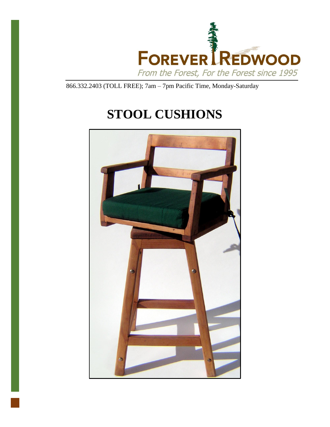

866.332.2403 (TOLL FREE); 7am – 7pm Pacific Time, Monday-Saturday

# **STOOL CUSHIONS**

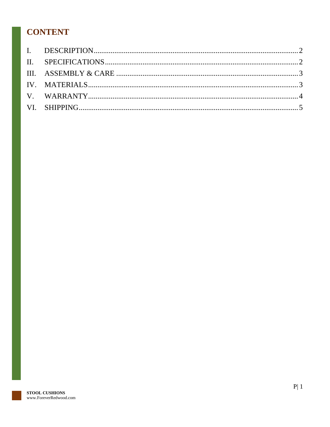## **CONTENT**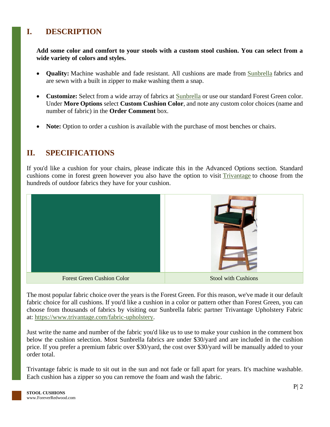#### <span id="page-2-0"></span>**I. DESCRIPTION**

**Add some color and comfort to your stools with a custom stool cushion. You can select from a wide variety of colors and styles.**

- **Quality:** Machine washable and fade resistant. All cushions are made from **[Sunbrella](http://www.outdoorfabriccentral.com/)** fabrics and are sewn with a built in zipper to make washing them a snap.
- **Customize:** Select from a wide array of fabrics at **[Sunbrella](http://www.outdoorfabriccentral.com/)** or use our standard Forest Green color. Under **More Options** select **Custom Cushion Color**, and note any custom color choices (name and number of fabric) in the **Order Comment** box.
- **Note:** Option to order a cushion is available with the purchase of most benches or chairs.

#### <span id="page-2-1"></span>**II. SPECIFICATIONS**

If you'd like a cushion for your chairs, please indicate this in the Advanced Options section. Standard cushions come in forest green however you also have the option to visit [Trivantage](https://www.trivantage.com/fabric-upholstery) to choose from the hundreds of outdoor fabrics they have for your cushion.



The most popular fabric choice over the years is the Forest Green. For this reason, we've made it our default fabric choice for all cushions. If you'd like a cushion in a color or pattern other than Forest Green, you can choose from thousands of fabrics by visiting our Sunbrella fabric partner Trivantage Upholstery Fabric at: [https://www.trivantage.com/fabric-upholstery.](https://www.trivantage.com/fabric-upholstery)

Just write the name and number of the fabric you'd like us to use to make your cushion in the comment box below the cushion selection. Most Sunbrella fabrics are under \$30/yard and are included in the cushion price. If you prefer a premium fabric over \$30/yard, the cost over \$30/yard will be manually added to your order total.

Trivantage fabric is made to sit out in the sun and not fade or fall apart for years. It's machine washable. Each cushion has a zipper so you can remove the foam and wash the fabric.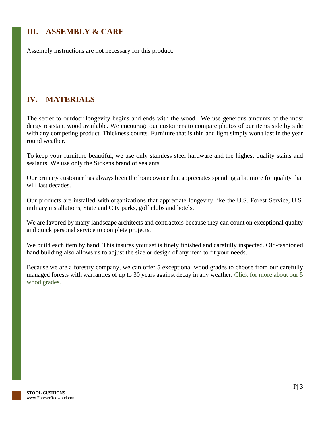## <span id="page-3-0"></span>**III. ASSEMBLY & CARE**

Assembly instructions are not necessary for this product.

## <span id="page-3-1"></span>**IV. MATERIALS**

The secret to outdoor longevity begins and ends with the wood. We use generous amounts of the most decay resistant wood available. We encourage our customers to compare photos of our items side by side with any competing product. Thickness counts. Furniture that is thin and light simply won't last in the year round weather.

To keep your furniture beautiful, we use only stainless steel hardware and the highest quality stains and sealants. We use only the Sickens brand of sealants.

Our primary customer has always been the homeowner that appreciates spending a bit more for quality that will last decades.

Our products are installed with organizations that appreciate longevity like the U.S. Forest Service, U.S. military installations, State and City parks, golf clubs and hotels.

We are favored by many landscape architects and contractors because they can count on exceptional quality and quick personal service to complete projects.

We build each item by hand. This insures your set is finely finished and carefully inspected. Old-fashioned hand building also allows us to adjust the size or design of any item to fit your needs.

Because we are a forestry company, we can offer 5 exceptional wood grades to choose from our carefully managed forests with warranties of up to 30 years against decay in any weather. Click for more about our 5 [wood grades.](https://www.foreverredwood.com/redwood-furniture/wood-grade/)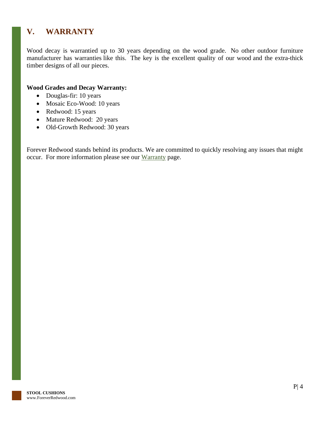## <span id="page-4-0"></span>**V. WARRANTY**

Wood decay is warrantied up to 30 years depending on the wood grade. No other outdoor furniture manufacturer has warranties like this. The key is the excellent quality of our wood and the extra-thick timber designs of all our pieces.

#### **Wood Grades and Decay Warranty:**

- Douglas-fir: 10 years
- Mosaic Eco-Wood: 10 years
- Redwood: 15 years
- Mature Redwood: 20 years
- Old-Growth Redwood: 30 years

Forever Redwood stands behind its products. We are committed to quickly resolving any issues that might occur. For more information please see our [Warranty](https://www.foreverredwood.com/redwood-furniture/warranty) page.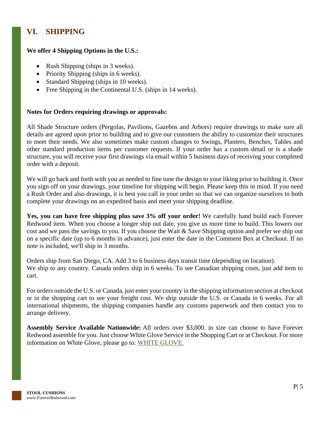## <span id="page-5-0"></span>**VI. SHIPPING**

#### **We offer 4 Shipping Options in the U.S.:**

- Rush Shipping (ships in 3 weeks).
- Priority Shipping (ships in 6 weeks).
- Standard Shipping (ships in 10 weeks).
- Free Shipping in the Continental U.S. (ships in 14 weeks).

#### **Notes for Orders requiring drawings or approvals:**

All Shade Structure orders (Pergolas, Pavilions, Gazebos and Arbors) require drawings to make sure all details are agreed upon prior to building and to give our customers the ability to customize their structures to meet their needs. We also sometimes make custom changes to Swings, Planters, Benches, Tables and other standard production items per customer requests. If your order has a custom detail or is a shade structure, you will receive your first drawings via email within 5 business days of receiving your completed order with a deposit.

We will go back and forth with you as needed to fine tune the design to your liking prior to building it. Once you sign off on your drawings, your timeline for shipping will begin. Please keep this in mind. If you need a Rush Order and also drawings, it is best you call in your order so that we can organize ourselves to both complete your drawings on an expedited basis and meet your shipping deadline.

**Yes, you can have free shipping plus save 3% off your order!** We carefully hand build each Forever Redwood item. When you choose a longer ship out date, you give us more time to build. This lowers our cost and we pass the savings to you. If you choose the Wait & Save Shipping option and prefer we ship out on a specific date (up to 6 months in advance), just enter the date in the Comment Box at Checkout. If no note is included, we'll ship in 3 months.

Orders ship from San Diego, CA. Add 3 to 6 business days transit time (depending on location). We ship to any country. Canada orders ship in 6 weeks. To see Canadian shipping costs, just add item to cart.

For orders outside the U.S. or Canada, just enter your country in the shipping information section at checkout or in the shopping cart to see your freight cost. We ship outside the U.S. or Canada in 6 weeks. For all international shipments, the shipping companies handle any customs paperwork and then contact you to arrange delivery.

**Assembly Service Available Nationwide:** All orders over \$3,000. in size can choose to have Forever Redwood assemble for you. Just choose White Glove Service in the Shopping Cart or at Checkout. For more information on White Glove, please go to: [WHITE GLOVE.](https://www.foreverredwood.com/white-glove/)